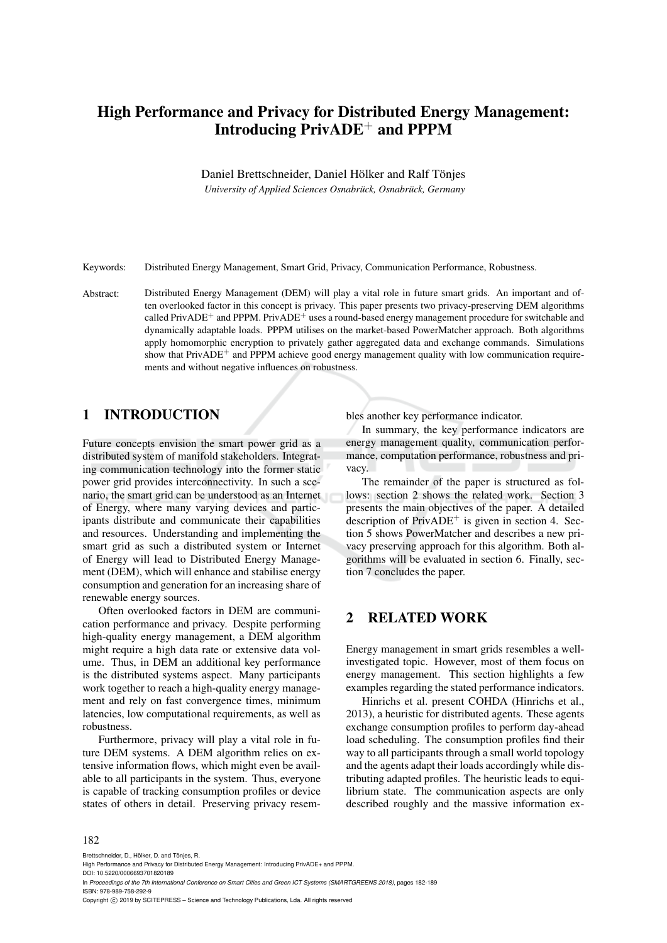# High Performance and Privacy for Distributed Energy Management: Introducing PrivADE<sup>+</sup> and PPPM

Daniel Brettschneider, Daniel Hölker and Ralf Tönjes

*University of Applied Sciences Osnabrück, Osnabrück, Germany*

Keywords: Distributed Energy Management, Smart Grid, Privacy, Communication Performance, Robustness.

Abstract: Distributed Energy Management (DEM) will play a vital role in future smart grids. An important and often overlooked factor in this concept is privacy. This paper presents two privacy-preserving DEM algorithms called PrivADE<sup>+</sup> and PPPM. PrivADE<sup>+</sup> uses a round-based energy management procedure for switchable and dynamically adaptable loads. PPPM utilises on the market-based PowerMatcher approach. Both algorithms apply homomorphic encryption to privately gather aggregated data and exchange commands. Simulations show that  $PrivADE^+$  and  $PPPM$  achieve good energy management quality with low communication requirements and without negative influences on robustness.

### 1 INTRODUCTION

Future concepts envision the smart power grid as a distributed system of manifold stakeholders. Integrating communication technology into the former static power grid provides interconnectivity. In such a scenario, the smart grid can be understood as an Internet of Energy, where many varying devices and participants distribute and communicate their capabilities and resources. Understanding and implementing the smart grid as such a distributed system or Internet of Energy will lead to Distributed Energy Management (DEM), which will enhance and stabilise energy consumption and generation for an increasing share of renewable energy sources.

Often overlooked factors in DEM are communication performance and privacy. Despite performing high-quality energy management, a DEM algorithm might require a high data rate or extensive data volume. Thus, in DEM an additional key performance is the distributed systems aspect. Many participants work together to reach a high-quality energy management and rely on fast convergence times, minimum latencies, low computational requirements, as well as robustness.

Furthermore, privacy will play a vital role in future DEM systems. A DEM algorithm relies on extensive information flows, which might even be available to all participants in the system. Thus, everyone is capable of tracking consumption profiles or device states of others in detail. Preserving privacy resembles another key performance indicator.

In summary, the key performance indicators are energy management quality, communication performance, computation performance, robustness and privacy.

The remainder of the paper is structured as follows: section 2 shows the related work. Section 3 presents the main objectives of the paper. A detailed description of  $PrivADE<sup>+</sup>$  is given in section 4. Section 5 shows PowerMatcher and describes a new privacy preserving approach for this algorithm. Both algorithms will be evaluated in section 6. Finally, section 7 concludes the paper.

# 2 RELATED WORK

Energy management in smart grids resembles a wellinvestigated topic. However, most of them focus on energy management. This section highlights a few examples regarding the stated performance indicators.

Hinrichs et al. present COHDA (Hinrichs et al., 2013), a heuristic for distributed agents. These agents exchange consumption profiles to perform day-ahead load scheduling. The consumption profiles find their way to all participants through a small world topology and the agents adapt their loads accordingly while distributing adapted profiles. The heuristic leads to equilibrium state. The communication aspects are only described roughly and the massive information ex-

#### 182

Brettschneider, D., Hölker, D. and Tönjes, R.

DOI: 10.5220/0006693701820189 In *Proceedings of the 7th International Conference on Smart Cities and Green ICT Systems (SMARTGREENS 2018)*, pages 182-189 ISBN: 978-989-758-292-9

Copyright C 2019 by SCITEPRESS - Science and Technology Publications, Lda. All rights reserved

High Performance and Privacy for Distributed Energy Management: Introducing PrivADE+ and PPPM.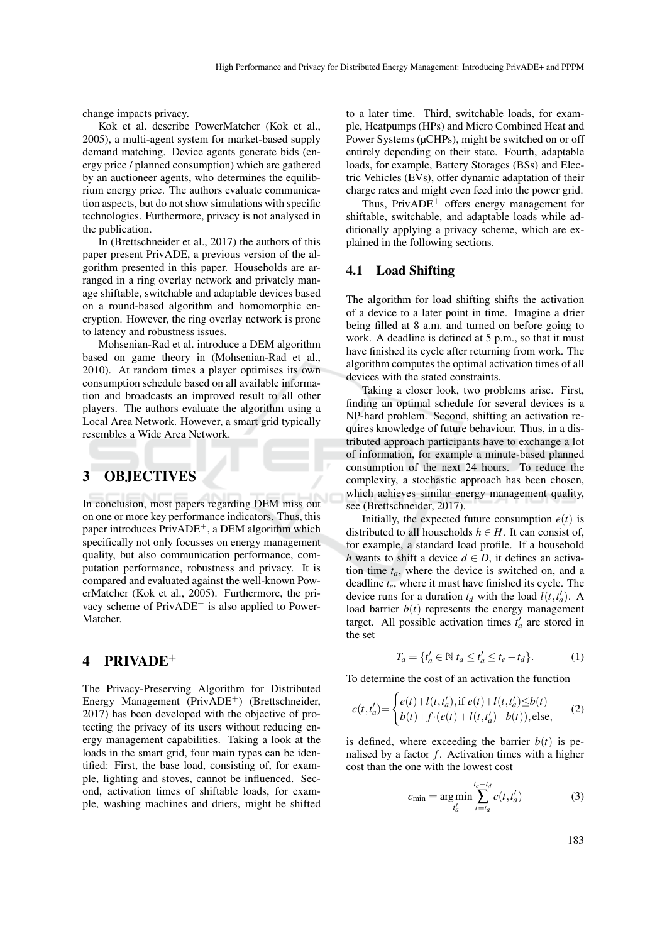change impacts privacy.

Kok et al. describe PowerMatcher (Kok et al., 2005), a multi-agent system for market-based supply demand matching. Device agents generate bids (energy price / planned consumption) which are gathered by an auctioneer agents, who determines the equilibrium energy price. The authors evaluate communication aspects, but do not show simulations with specific technologies. Furthermore, privacy is not analysed in the publication.

In (Brettschneider et al., 2017) the authors of this paper present PrivADE, a previous version of the algorithm presented in this paper. Households are arranged in a ring overlay network and privately manage shiftable, switchable and adaptable devices based on a round-based algorithm and homomorphic encryption. However, the ring overlay network is prone to latency and robustness issues.

Mohsenian-Rad et al. introduce a DEM algorithm based on game theory in (Mohsenian-Rad et al., 2010). At random times a player optimises its own consumption schedule based on all available information and broadcasts an improved result to all other players. The authors evaluate the algorithm using a Local Area Network. However, a smart grid typically resembles a Wide Area Network.

### 3 OBJECTIVES

In conclusion, most papers regarding DEM miss out on one or more key performance indicators. Thus, this paper introduces  $PrivADE^+$ , a DEM algorithm which specifically not only focusses on energy management quality, but also communication performance, computation performance, robustness and privacy. It is compared and evaluated against the well-known PowerMatcher (Kok et al., 2005). Furthermore, the privacy scheme of  $PrivADE^+$  is also applied to Power-Matcher.

### 4 PRIVADE<sup>+</sup>

The Privacy-Preserving Algorithm for Distributed Energy Management (PrivADE<sup>+</sup>) (Brettschneider, 2017) has been developed with the objective of protecting the privacy of its users without reducing energy management capabilities. Taking a look at the loads in the smart grid, four main types can be identified: First, the base load, consisting of, for example, lighting and stoves, cannot be influenced. Second, activation times of shiftable loads, for example, washing machines and driers, might be shifted

to a later time. Third, switchable loads, for example, Heatpumps (HPs) and Micro Combined Heat and Power Systems (µCHPs), might be switched on or off entirely depending on their state. Fourth, adaptable loads, for example, Battery Storages (BSs) and Electric Vehicles (EVs), offer dynamic adaptation of their charge rates and might even feed into the power grid.

Thus,  $PrivADE^+$  offers energy management for shiftable, switchable, and adaptable loads while additionally applying a privacy scheme, which are explained in the following sections.

#### 4.1 Load Shifting

The algorithm for load shifting shifts the activation of a device to a later point in time. Imagine a drier being filled at 8 a.m. and turned on before going to work. A deadline is defined at 5 p.m., so that it must have finished its cycle after returning from work. The algorithm computes the optimal activation times of all devices with the stated constraints.

Taking a closer look, two problems arise. First, finding an optimal schedule for several devices is a NP-hard problem. Second, shifting an activation requires knowledge of future behaviour. Thus, in a distributed approach participants have to exchange a lot of information, for example a minute-based planned consumption of the next 24 hours. To reduce the complexity, a stochastic approach has been chosen, which achieves similar energy management quality, see (Brettschneider, 2017).

Initially, the expected future consumption  $e(t)$  is distributed to all households  $h \in H$ . It can consist of, for example, a standard load profile. If a household *h* wants to shift a device  $d \in D$ , it defines an activation time *ta*, where the device is switched on, and a deadline *te*, where it must have finished its cycle. The device runs for a duration  $t_d$  with the load  $l(t, t'_a)$ . A load barrier  $b(t)$  represents the energy management target. All possible activation times  $t'_a$  are stored in the set

$$
T_a = \{t'_a \in \mathbb{N} | t_a \le t'_a \le t_e - t_d\}.
$$
 (1)

To determine the cost of an activation the function

$$
c(t, t'_a) = \begin{cases} e(t) + l(t, t'_a), \text{if } e(t) + l(t, t'_a) \le b(t) \\ b(t) + f \cdot (e(t) + l(t, t'_a) - b(t)), \text{else,} \end{cases} \tag{2}
$$

is defined, where exceeding the barrier  $b(t)$  is penalised by a factor *f*. Activation times with a higher cost than the one with the lowest cost

$$
c_{\min} = \underset{t'_a}{\arg\min} \sum_{t=t_a}^{t_e - t_d} c(t, t'_a) \tag{3}
$$

183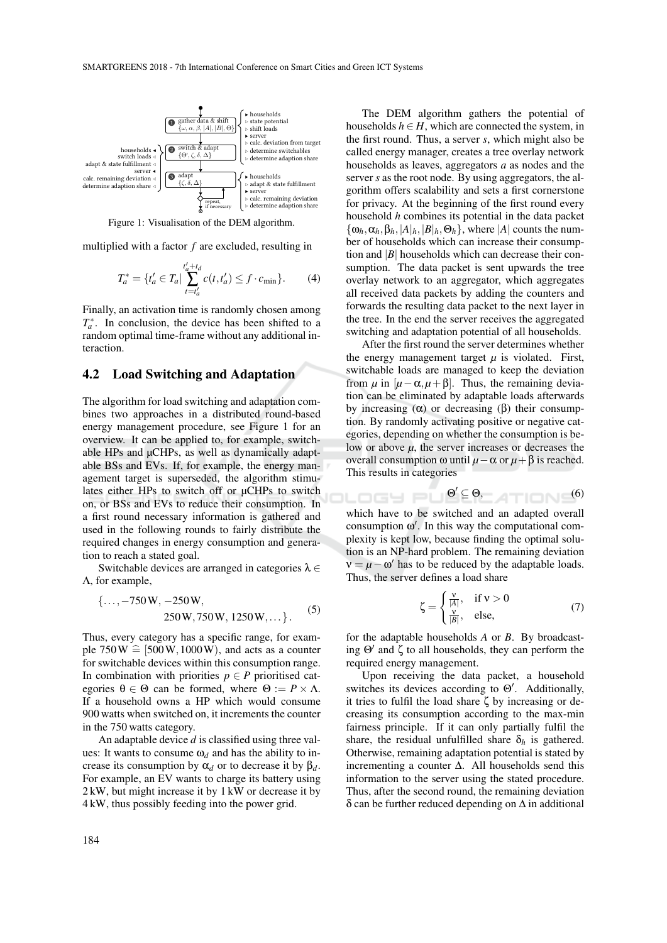

Figure 1: Visualisation of the DEM algorithm.

multiplied with a factor *f* are excluded, resulting in

$$
T_a^* = \{t'_a \in T_a | \sum_{t=t'_a}^{t'_a + t_d} c(t, t'_a) \le f \cdot c_{\min} \}.
$$
 (4)

Finally, an activation time is randomly chosen among  $T_a^*$ . In conclusion, the device has been shifted to a random optimal time-frame without any additional interaction.

#### 4.2 Load Switching and Adaptation

The algorithm for load switching and adaptation combines two approaches in a distributed round-based energy management procedure, see Figure 1 for an overview. It can be applied to, for example, switchable HPs and µCHPs, as well as dynamically adaptable BSs and EVs. If, for example, the energy management target is superseded, the algorithm stimulates either HPs to switch off or µCHPs to switch on, or BSs and EVs to reduce their consumption. In a first round necessary information is gathered and used in the following rounds to fairly distribute the required changes in energy consumption and generation to reach a stated goal.

Switchable devices are arranged in categories  $\lambda \in$ Λ, for example,

$$
\{\ldots, -750 \,\mathrm{W}, -250 \,\mathrm{W}, \\\ 250 \,\mathrm{W}, 750 \,\mathrm{W}, 1250 \,\mathrm{W}, \ldots\}.
$$
 (5)

Thus, every category has a specific range, for example  $750W \hat{=}$  [500W, 1000W), and acts as a counter for switchable devices within this consumption range. In combination with priorities  $p \in P$  prioritised categories  $\theta \in \Theta$  can be formed, where  $\Theta := P \times \Lambda$ . If a household owns a HP which would consume 900 watts when switched on, it increments the counter in the 750 watts category.

An adaptable device *d* is classified using three values: It wants to consume  $\omega_d$  and has the ability to increase its consumption by  $\alpha_d$  or to decrease it by  $\beta_d$ . For example, an EV wants to charge its battery using 2 kW, but might increase it by 1 kW or decrease it by 4 kW, thus possibly feeding into the power grid.

The DEM algorithm gathers the potential of households  $h \in H$ , which are connected the system, in the first round. Thus, a server *s*, which might also be called energy manager, creates a tree overlay network households as leaves, aggregators *a* as nodes and the server *s* as the root node. By using aggregators, the algorithm offers scalability and sets a first cornerstone for privacy. At the beginning of the first round every household *h* combines its potential in the data packet  $\{\omega_h, \alpha_h, \beta_h, |A|_h, |B|_h, \Theta_h\}$ , where |*A*| counts the number of households which can increase their consumption and  $|B|$  households which can decrease their consumption. The data packet is sent upwards the tree overlay network to an aggregator, which aggregates all received data packets by adding the counters and forwards the resulting data packet to the next layer in the tree. In the end the server receives the aggregated switching and adaptation potential of all households.

After the first round the server determines whether the energy management target  $\mu$  is violated. First, switchable loads are managed to keep the deviation from  $\mu$  in  $[\mu-\alpha, \mu+\beta]$ . Thus, the remaining deviation can be eliminated by adaptable loads afterwards by increasing  $(\alpha)$  or decreasing  $(\beta)$  their consumption. By randomly activating positive or negative categories, depending on whether the consumption is below or above  $\mu$ , the server increases or decreases the overall consumption ω until *µ*−α or *µ*+β is reached. This results in categories

Θ <sup>0</sup> ⊆ Θ, (6)

which have to be switched and an adapted overall consumption ω 0 . In this way the computational complexity is kept low, because finding the optimal solution is an NP-hard problem. The remaining deviation  $v = \mu - \omega'$  has to be reduced by the adaptable loads. Thus, the server defines a load share

$$
\zeta = \begin{cases} \frac{\nu}{|A|}, & \text{if } \nu > 0\\ \frac{\nu}{|B|}, & \text{else,} \end{cases}
$$
(7)

for the adaptable households *A* or *B*. By broadcasting  $\Theta'$  and  $\zeta$  to all households, they can perform the required energy management.

Upon receiving the data packet, a household switches its devices according to  $\Theta'$ . Additionally, it tries to fulfil the load share  $\zeta$  by increasing or decreasing its consumption according to the max-min fairness principle. If it can only partially fulfil the share, the residual unfulfilled share  $\delta_h$  is gathered. Otherwise, remaining adaptation potential is stated by incrementing a counter ∆. All households send this information to the server using the stated procedure. Thus, after the second round, the remaining deviation  $\delta$  can be further reduced depending on  $\Delta$  in additional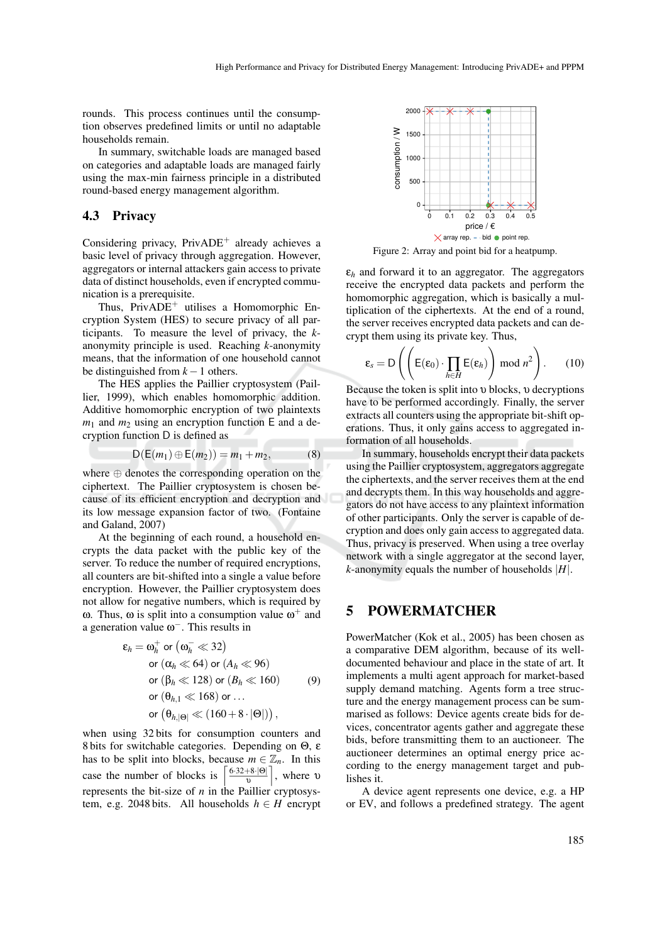rounds. This process continues until the consumption observes predefined limits or until no adaptable households remain.

In summary, switchable loads are managed based on categories and adaptable loads are managed fairly using the max-min fairness principle in a distributed round-based energy management algorithm.

#### 4.3 Privacy

Considering privacy, PrivADE<sup>+</sup> already achieves a basic level of privacy through aggregation. However, aggregators or internal attackers gain access to private data of distinct households, even if encrypted communication is a prerequisite.

Thus, PrivADE<sup>+</sup> utilises a Homomorphic Encryption System (HES) to secure privacy of all participants. To measure the level of privacy, the *k*anonymity principle is used. Reaching *k*-anonymity means, that the information of one household cannot be distinguished from *k* −1 others.

The HES applies the Paillier cryptosystem (Paillier, 1999), which enables homomorphic addition. Additive homomorphic encryption of two plaintexts  $m_1$  and  $m_2$  using an encryption function E and a decryption function D is defined as

$$
D(E(m_1) \oplus E(m_2)) = m_1 + m_2, \tag{8}
$$

where ⊕ denotes the corresponding operation on the ciphertext. The Paillier cryptosystem is chosen because of its efficient encryption and decryption and its low message expansion factor of two. (Fontaine and Galand, 2007)

At the beginning of each round, a household encrypts the data packet with the public key of the server. To reduce the number of required encryptions, all counters are bit-shifted into a single a value before encryption. However, the Paillier cryptosystem does not allow for negative numbers, which is required by ω. Thus, ω is split into a consumption value  $ω$ <sup>+</sup> and a generation value  $\omega^-$ . This results in

$$
\varepsilon_h = \omega_h^+ \text{ or } (\omega_h^- \ll 32)
$$
  
or  $(\alpha_h \ll 64) \text{ or } (A_h \ll 96)$   
or  $(\beta_h \ll 128) \text{ or } (B_h \ll 160)$  (9)  
or  $(\theta_{h,1} \ll 168) \text{ or } ...$   
or  $(\theta_{h, |\Theta|} \ll (160 + 8 \cdot |\Theta|)),$ 

when using 32 bits for consumption counters and 8 bits for switchable categories. Depending on Θ, ε has to be split into blocks, because  $m \in \mathbb{Z}_n$ . In this case the number of blocks is  $\left[\frac{6.32+8.00}{n}\right]$  $\frac{+8.0}{\nu}$ , where v represents the bit-size of  $n$  in the Paillier cryptosystem, e.g. 2048 bits. All households  $h \in H$  encrypt



Figure 2: Array and point bid for a heatpump.

 $\varepsilon_h$  and forward it to an aggregator. The aggregators receive the encrypted data packets and perform the homomorphic aggregation, which is basically a multiplication of the ciphertexts. At the end of a round, the server receives encrypted data packets and can decrypt them using its private key. Thus,

$$
\varepsilon_s = D\left(\left(E(\varepsilon_0) \cdot \prod_{h \in H} E(\varepsilon_h)\right) \bmod n^2\right). \tag{10}
$$

Because the token is split into  $\nu$  blocks,  $\nu$  decryptions have to be performed accordingly. Finally, the server extracts all counters using the appropriate bit-shift operations. Thus, it only gains access to aggregated information of all households.

In summary, households encrypt their data packets using the Paillier cryptosystem, aggregators aggregate the ciphertexts, and the server receives them at the end and decrypts them. In this way households and aggregators do not have access to any plaintext information of other participants. Only the server is capable of decryption and does only gain access to aggregated data. Thus, privacy is preserved. When using a tree overlay network with a single aggregator at the second layer, *k*-anonymity equals the number of households |*H*|.

# 5 POWERMATCHER

PowerMatcher (Kok et al., 2005) has been chosen as a comparative DEM algorithm, because of its welldocumented behaviour and place in the state of art. It implements a multi agent approach for market-based supply demand matching. Agents form a tree structure and the energy management process can be summarised as follows: Device agents create bids for devices, concentrator agents gather and aggregate these bids, before transmitting them to an auctioneer. The auctioneer determines an optimal energy price according to the energy management target and publishes it.

A device agent represents one device, e.g. a HP or EV, and follows a predefined strategy. The agent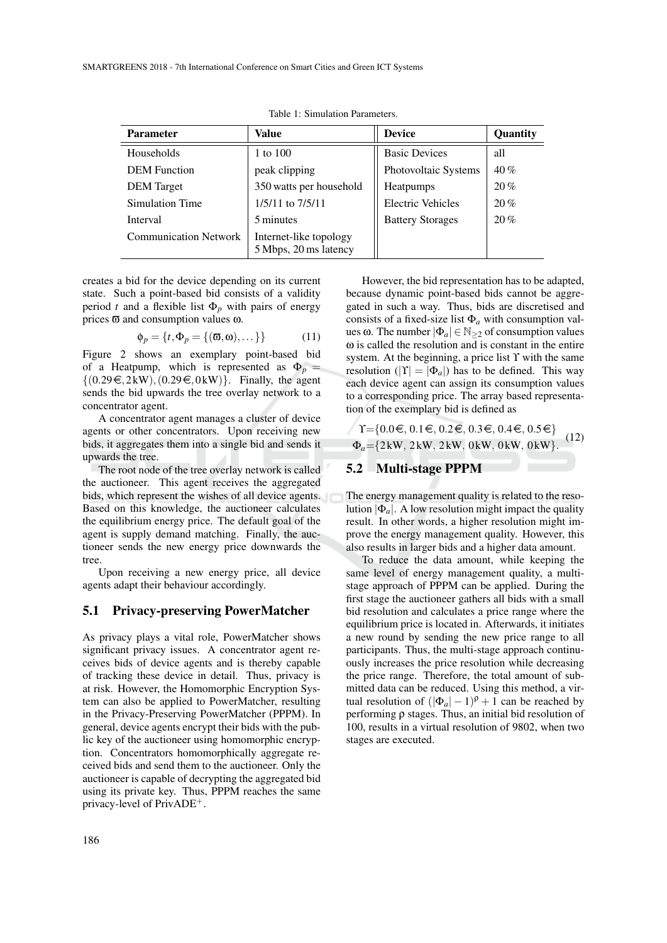| <b>Parameter</b>             | Value                                           | <b>Device</b>            | Quantity |
|------------------------------|-------------------------------------------------|--------------------------|----------|
| Households                   | 1 to 100                                        | <b>Basic Devices</b>     | all      |
| <b>DEM</b> Function          | peak clipping                                   | Photovoltaic Systems     | 40%      |
| <b>DEM</b> Target            | 350 watts per household                         | Heatpumps                | 20%      |
| Simulation Time              | 1/5/11 to 7/5/11                                | <b>Electric Vehicles</b> | 20%      |
| Interval                     | 5 minutes                                       | <b>Battery Storages</b>  | 20%      |
| <b>Communication Network</b> | Internet-like topology<br>5 Mbps, 20 ms latency |                          |          |

Table 1: Simulation Parameters.

creates a bid for the device depending on its current state. Such a point-based bid consists of a validity period *t* and a flexible list  $\Phi_p$  with pairs of energy prices ϖ and consumption values ω.

$$
\phi_p = \{t, \Phi_p = \{(\varpi, \omega), \dots\}\}\tag{11}
$$

Figure 2 shows an exemplary point-based bid of a Heatpump, which is represented as  $\Phi_p =$  $\{(0.29 \in, 2kW), (0.29 \in, 0kW)\}.$  Finally, the agent sends the bid upwards the tree overlay network to a concentrator agent.

A concentrator agent manages a cluster of device agents or other concentrators. Upon receiving new bids, it aggregates them into a single bid and sends it upwards the tree.

The root node of the tree overlay network is called the auctioneer. This agent receives the aggregated bids, which represent the wishes of all device agents. Based on this knowledge, the auctioneer calculates the equilibrium energy price. The default goal of the agent is supply demand matching. Finally, the auctioneer sends the new energy price downwards the tree.

Upon receiving a new energy price, all device agents adapt their behaviour accordingly.

#### 5.1 Privacy-preserving PowerMatcher

As privacy plays a vital role, PowerMatcher shows significant privacy issues. A concentrator agent receives bids of device agents and is thereby capable of tracking these device in detail. Thus, privacy is at risk. However, the Homomorphic Encryption System can also be applied to PowerMatcher, resulting in the Privacy-Preserving PowerMatcher (PPPM). In general, device agents encrypt their bids with the public key of the auctioneer using homomorphic encryption. Concentrators homomorphically aggregate received bids and send them to the auctioneer. Only the auctioneer is capable of decrypting the aggregated bid using its private key. Thus, PPPM reaches the same privacy-level of PrivADE+.

However, the bid representation has to be adapted, because dynamic point-based bids cannot be aggregated in such a way. Thus, bids are discretised and consists of a fixed-size list  $\Phi_a$  with consumption values ω. The number  $|\Phi_a| \in \mathbb{N}_{\geq 2}$  of consumption values ω is called the resolution and is constant in the entire system. At the beginning, a price list  $\Upsilon$  with the same resolution ( $|\Upsilon| = |\Phi_a|$ ) has to be defined. This way each device agent can assign its consumption values to a corresponding price. The array based representation of the exemplary bid is defined as

 $\gamma$  T={0.0 €, 0.1 €, 0.2 €, 0.3 €, 0.4 €, 0.5 €} Φ*a*={2 kW, 2 kW, 2 kW, 0 kW, 0 kW, 0 kW}. (12)

### 5.2 Multi-stage PPPM

The energy management quality is related to the resolution  $|\Phi_a|$ . A low resolution might impact the quality result. In other words, a higher resolution might improve the energy management quality. However, this also results in larger bids and a higher data amount.

To reduce the data amount, while keeping the same level of energy management quality, a multistage approach of PPPM can be applied. During the first stage the auctioneer gathers all bids with a small bid resolution and calculates a price range where the equilibrium price is located in. Afterwards, it initiates a new round by sending the new price range to all participants. Thus, the multi-stage approach continuously increases the price resolution while decreasing the price range. Therefore, the total amount of submitted data can be reduced. Using this method, a virtual resolution of  $(|\Phi_a| - 1)^\rho + 1$  can be reached by performing ρ stages. Thus, an initial bid resolution of 100, results in a virtual resolution of 9802, when two stages are executed.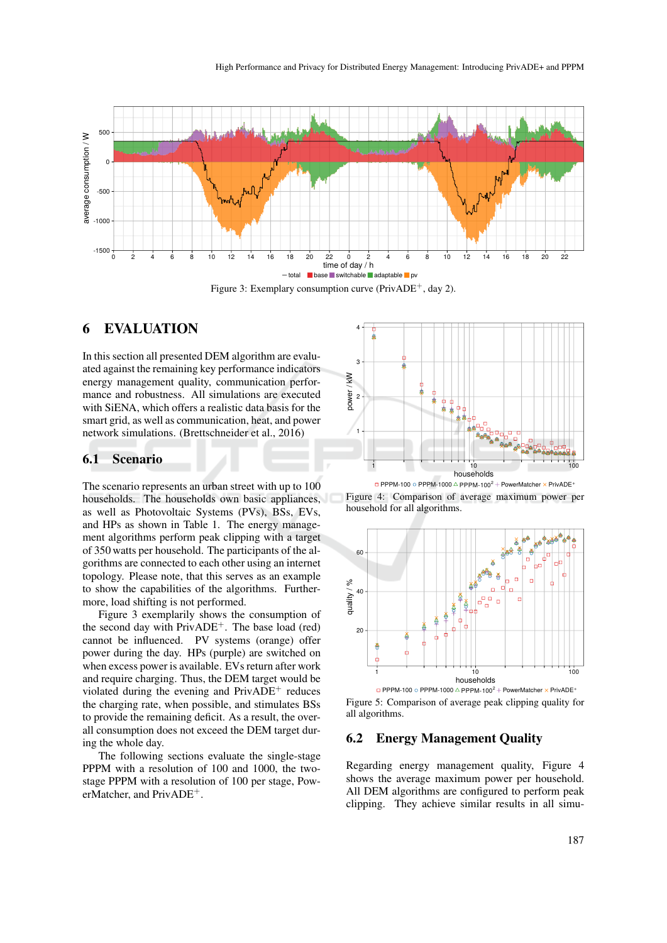

## 6 EVALUATION

In this section all presented DEM algorithm are evaluated against the remaining key performance indicators energy management quality, communication performance and robustness. All simulations are executed with SiENA, which offers a realistic data basis for the smart grid, as well as communication, heat, and power network simulations. (Brettschneider et al., 2016)

### 6.1 Scenario

The scenario represents an urban street with up to 100 households. The households own basic appliances, as well as Photovoltaic Systems (PVs), BSs, EVs, and HPs as shown in Table 1. The energy management algorithms perform peak clipping with a target of 350 watts per household. The participants of the algorithms are connected to each other using an internet topology. Please note, that this serves as an example to show the capabilities of the algorithms. Furthermore, load shifting is not performed.

Figure 3 exemplarily shows the consumption of the second day with  $PrivADE^+$ . The base load (red) cannot be influenced. PV systems (orange) offer power during the day. HPs (purple) are switched on when excess power is available. EVs return after work and require charging. Thus, the DEM target would be violated during the evening and  $PrivADE<sup>+</sup>$  reduces the charging rate, when possible, and stimulates BSs to provide the remaining deficit. As a result, the overall consumption does not exceed the DEM target during the whole day.

The following sections evaluate the single-stage PPPM with a resolution of 100 and 1000, the twostage PPPM with a resolution of 100 per stage, PowerMatcher, and PrivADE+.



Figure 4: Comparison of average maximum power per household for all algorithms.



 $\Box$  PPPM-100  $\odot$  PPPM-1000  $\triangle$  PPPM-100<sup>2</sup> + PowerMatcher  $\times$  PrivADE<sup>+</sup> Figure 5: Comparison of average peak clipping quality for all algorithms.

#### 6.2 Energy Management Quality

Regarding energy management quality, Figure 4 shows the average maximum power per household. All DEM algorithms are configured to perform peak clipping. They achieve similar results in all simu-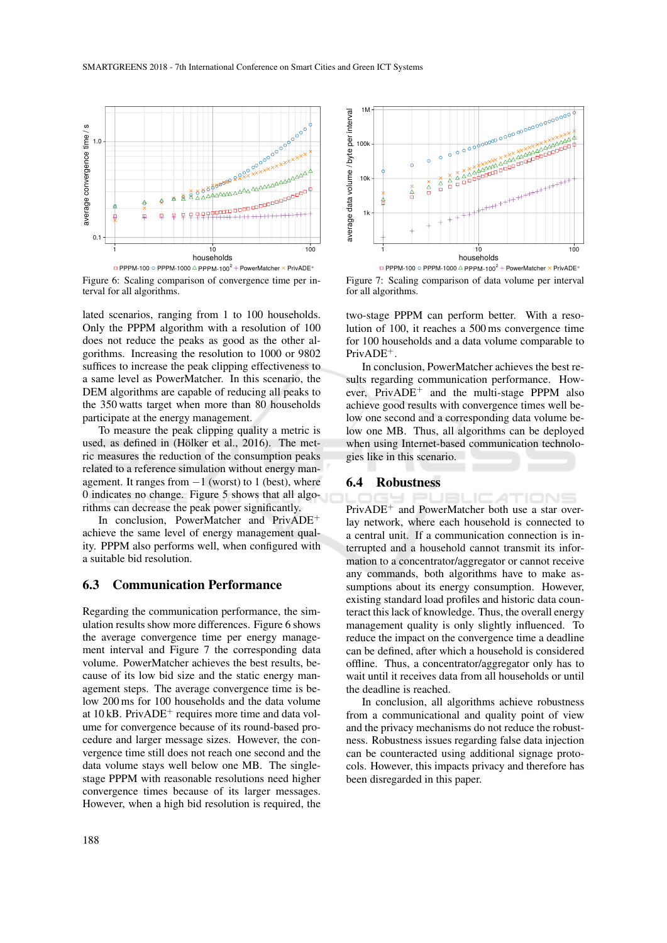

Figure 6: Scaling comparison of convergence time per interval for all algorithms.

lated scenarios, ranging from 1 to 100 households. Only the PPPM algorithm with a resolution of 100 does not reduce the peaks as good as the other algorithms. Increasing the resolution to 1000 or 9802 suffices to increase the peak clipping effectiveness to a same level as PowerMatcher. In this scenario, the DEM algorithms are capable of reducing all peaks to the 350 watts target when more than 80 households participate at the energy management.

To measure the peak clipping quality a metric is used, as defined in (Hölker et al., 2016). The metric measures the reduction of the consumption peaks related to a reference simulation without energy management. It ranges from  $-1$  (worst) to 1 (best), where 0 indicates no change. Figure 5 shows that all algorithms can decrease the peak power significantly.

In conclusion, PowerMatcher and PrivADE<sup>+</sup> achieve the same level of energy management quality. PPPM also performs well, when configured with a suitable bid resolution.

### 6.3 Communication Performance

Regarding the communication performance, the simulation results show more differences. Figure 6 shows the average convergence time per energy management interval and Figure 7 the corresponding data volume. PowerMatcher achieves the best results, because of its low bid size and the static energy management steps. The average convergence time is below 200 ms for 100 households and the data volume at  $10 \text{ kB}$ . PrivADE<sup>+</sup> requires more time and data volume for convergence because of its round-based procedure and larger message sizes. However, the convergence time still does not reach one second and the data volume stays well below one MB. The singlestage PPPM with reasonable resolutions need higher convergence times because of its larger messages. However, when a high bid resolution is required, the



Figure 7: Scaling comparison of data volume per interval for all algorithms.

two-stage PPPM can perform better. With a resolution of 100, it reaches a 500 ms convergence time for 100 households and a data volume comparable to PrivADE+.

In conclusion, PowerMatcher achieves the best results regarding communication performance. However,  $PrivADE^+$  and the multi-stage PPPM also achieve good results with convergence times well below one second and a corresponding data volume below one MB. Thus, all algorithms can be deployed when using Internet-based communication technologies like in this scenario.

#### 6.4 Robustness

PrivADE<sup>+</sup> and PowerMatcher both use a star overlay network, where each household is connected to a central unit. If a communication connection is interrupted and a household cannot transmit its information to a concentrator/aggregator or cannot receive any commands, both algorithms have to make assumptions about its energy consumption. However, existing standard load profiles and historic data counteract this lack of knowledge. Thus, the overall energy management quality is only slightly influenced. To reduce the impact on the convergence time a deadline can be defined, after which a household is considered offline. Thus, a concentrator/aggregator only has to wait until it receives data from all households or until the deadline is reached.

In conclusion, all algorithms achieve robustness from a communicational and quality point of view and the privacy mechanisms do not reduce the robustness. Robustness issues regarding false data injection can be counteracted using additional signage protocols. However, this impacts privacy and therefore has been disregarded in this paper.